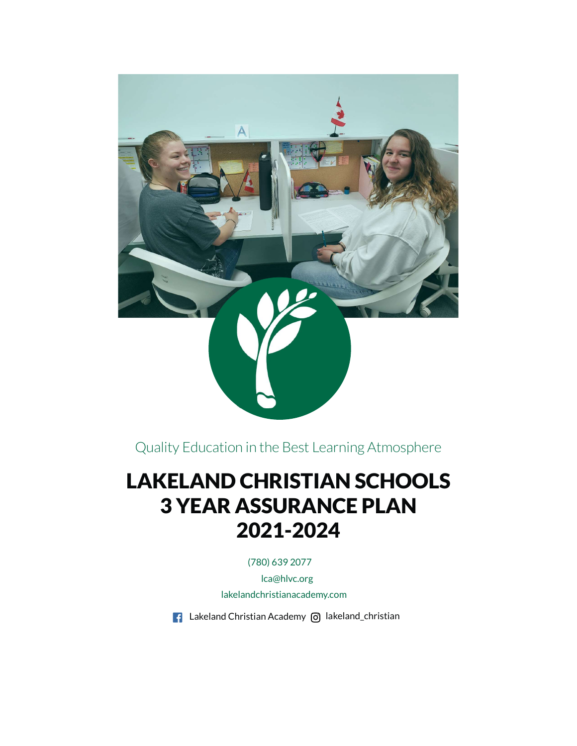

Quality Education in the Best Learning Atmosphere

# LAKELAND CHRISTIAN SCHOOLS 3 YEAR ASSURANCE PLAN 2021-2024

(780) 639 2077

lca@hlvc.org

lakelandchristianacademy.com

 $\blacksquare$  Lakeland Christian Academy  $\lhd$  lakeland\_christian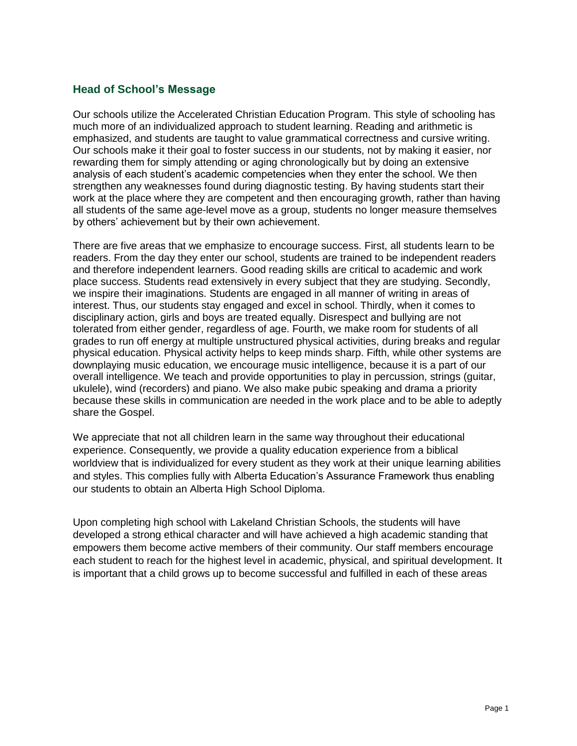## **Head of School's Message**

Our schools utilize the Accelerated Christian Education Program. This style of schooling has much more of an individualized approach to student learning. Reading and arithmetic is emphasized, and students are taught to value grammatical correctness and cursive writing. Our schools make it their goal to foster success in our students, not by making it easier, nor rewarding them for simply attending or aging chronologically but by doing an extensive analysis of each student's academic competencies when they enter the school. We then strengthen any weaknesses found during diagnostic testing. By having students start their work at the place where they are competent and then encouraging growth, rather than having all students of the same age-level move as a group, students no longer measure themselves by others' achievement but by their own achievement.

There are five areas that we emphasize to encourage success. First, all students learn to be readers. From the day they enter our school, students are trained to be independent readers and therefore independent learners. Good reading skills are critical to academic and work place success. Students read extensively in every subject that they are studying. Secondly, we inspire their imaginations. Students are engaged in all manner of writing in areas of interest. Thus, our students stay engaged and excel in school. Thirdly, when it comes to disciplinary action, girls and boys are treated equally. Disrespect and bullying are not tolerated from either gender, regardless of age. Fourth, we make room for students of all grades to run off energy at multiple unstructured physical activities, during breaks and regular physical education. Physical activity helps to keep minds sharp. Fifth, while other systems are downplaying music education, we encourage music intelligence, because it is a part of our overall intelligence. We teach and provide opportunities to play in percussion, strings (guitar, ukulele), wind (recorders) and piano. We also make pubic speaking and drama a priority because these skills in communication are needed in the work place and to be able to adeptly share the Gospel.

We appreciate that not all children learn in the same way throughout their educational experience. Consequently, we provide a quality education experience from a biblical worldview that is individualized for every student as they work at their unique learning abilities and styles. This complies fully with Alberta Education's Assurance Framework thus enabling our students to obtain an Alberta High School Diploma.

Upon completing high school with Lakeland Christian Schools, the students will have developed a strong ethical character and will have achieved a high academic standing that empowers them become active members of their community. Our staff members encourage each student to reach for the highest level in academic, physical, and spiritual development. It is important that a child grows up to become successful and fulfilled in each of these areas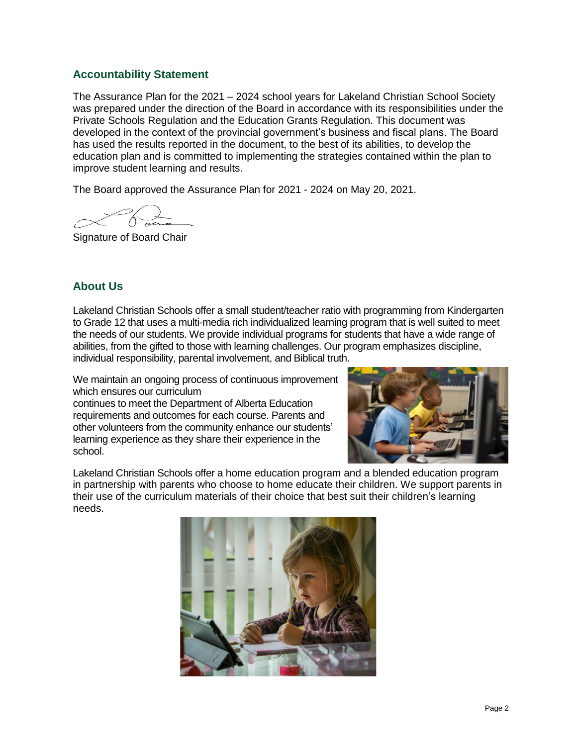## **Accountability Statement**

The Assurance Plan for the 2021 – 2024 school years for Lakeland Christian School Society was prepared under the direction of the Board in accordance with its responsibilities under the Private Schools Regulation and the Education Grants Regulation. This document was developed in the context of the provincial government's business and fiscal plans. The Board has used the results reported in the document, to the best of its abilities, to develop the education plan and is committed to implementing the strategies contained within the plan to improve student learning and results.

The Board approved the Assurance Plan for 2021 - 2024 on May 20, 2021.

Signature of Board Chair

## **About Us**

Lakeland Christian Schools offer a small student/teacher ratio with programming from Kindergarten to Grade 12 that uses a multi-media rich individualized learning program that is well suited to meet the needs of our students. We provide individual programs for students that have a wide range of abilities, from the gifted to those with learning challenges. Our program emphasizes discipline, individual responsibility, parental involvement, and Biblical truth.

We maintain an ongoing process of continuous improvement which ensures our curriculum

continues to meet the Department of Alberta Education requirements and outcomes for each course. Parents and other volunteers from the community enhance our students' learning experience as they share their experience in the school.



Lakeland Christian Schools offer a home education program and a blended education program in partnership with parents who choose to home educate their children. We support parents in their use of the curriculum materials of their choice that best suit their children's learning needs.

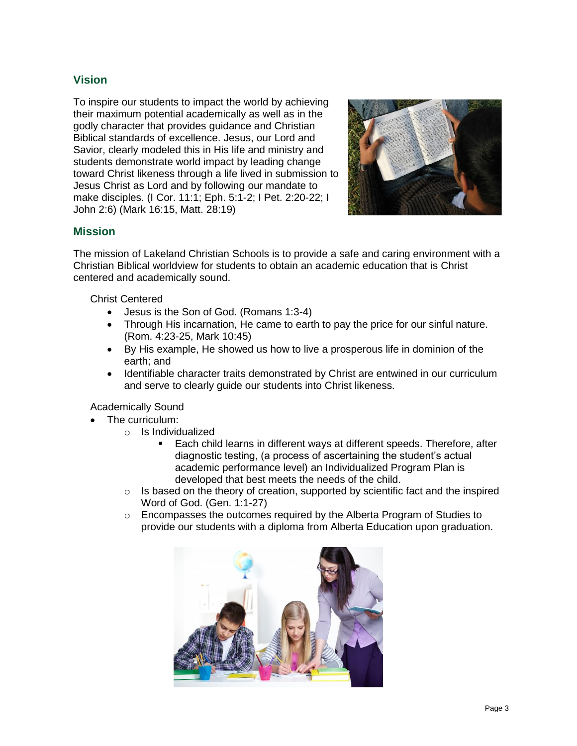## **Vision**

To inspire our students to impact the world by achieving their maximum potential academically as well as in the godly character that provides guidance and Christian Biblical standards of excellence. Jesus, our Lord and Savior, clearly modeled this in His life and ministry and students demonstrate world impact by leading change toward Christ likeness through a life lived in submission to Jesus Christ as Lord and by following our mandate to make disciples. (I Cor. 11:1; Eph. 5:1-2; I Pet. 2:20-22; I John 2:6) (Mark 16:15, Matt. 28:19)



## **Mission**

The mission of Lakeland Christian Schools is to provide a safe and caring environment with a Christian Biblical worldview for students to obtain an academic education that is Christ centered and academically sound.

Christ Centered

- Jesus is the Son of God. (Romans 1:3-4)
- Through His incarnation, He came to earth to pay the price for our sinful nature. (Rom. 4:23-25, Mark 10:45)
- By His example, He showed us how to live a prosperous life in dominion of the earth; and
- Identifiable character traits demonstrated by Christ are entwined in our curriculum and serve to clearly guide our students into Christ likeness.

Academically Sound

- The curriculum:
	- o Is Individualized
		- Each child learns in different ways at different speeds. Therefore, after diagnostic testing, (a process of ascertaining the student's actual academic performance level) an Individualized Program Plan is developed that best meets the needs of the child.
	- $\circ$  Is based on the theory of creation, supported by scientific fact and the inspired Word of God. (Gen. 1:1-27)
	- $\circ$  Encompasses the outcomes required by the Alberta Program of Studies to provide our students with a diploma from Alberta Education upon graduation.

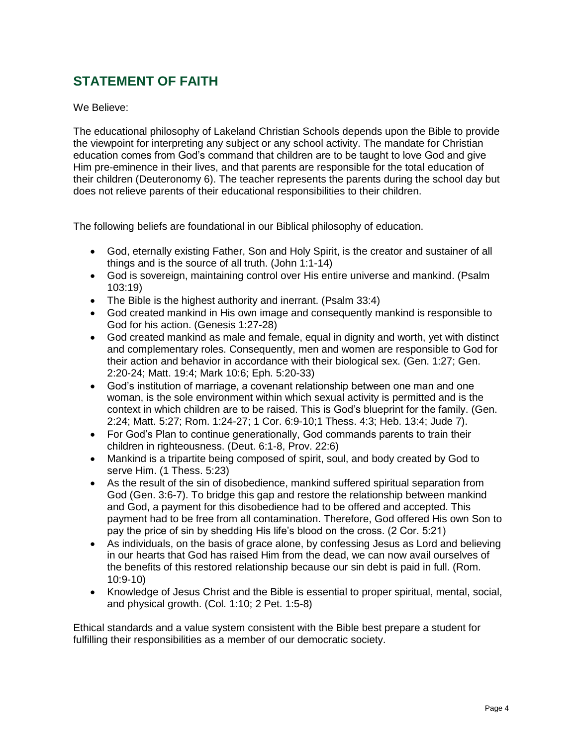## **STATEMENT OF FAITH**

We Believe:

The educational philosophy of Lakeland Christian Schools depends upon the Bible to provide the viewpoint for interpreting any subject or any school activity. The mandate for Christian education comes from God's command that children are to be taught to love God and give Him pre-eminence in their lives, and that parents are responsible for the total education of their children (Deuteronomy 6). The teacher represents the parents during the school day but does not relieve parents of their educational responsibilities to their children.

The following beliefs are foundational in our Biblical philosophy of education.

- God, eternally existing Father, Son and Holy Spirit, is the creator and sustainer of all things and is the source of all truth. (John 1:1-14)
- God is sovereign, maintaining control over His entire universe and mankind. (Psalm 103:19)
- The Bible is the highest authority and inerrant. (Psalm 33:4)
- God created mankind in His own image and consequently mankind is responsible to God for his action. (Genesis 1:27-28)
- God created mankind as male and female, equal in dignity and worth, yet with distinct and complementary roles. Consequently, men and women are responsible to God for their action and behavior in accordance with their biological sex. (Gen. 1:27; Gen. 2:20-24; Matt. 19:4; Mark 10:6; Eph. 5:20-33)
- God's institution of marriage, a covenant relationship between one man and one woman, is the sole environment within which sexual activity is permitted and is the context in which children are to be raised. This is God's blueprint for the family. (Gen. 2:24; Matt. 5:27; Rom. 1:24-27; 1 Cor. 6:9-10;1 Thess. 4:3; Heb. 13:4; Jude 7).
- For God's Plan to continue generationally, God commands parents to train their children in righteousness. (Deut. 6:1-8, Prov. 22:6)
- Mankind is a tripartite being composed of spirit, soul, and body created by God to serve Him. (1 Thess. 5:23)
- As the result of the sin of disobedience, mankind suffered spiritual separation from God (Gen. 3:6-7). To bridge this gap and restore the relationship between mankind and God, a payment for this disobedience had to be offered and accepted. This payment had to be free from all contamination. Therefore, God offered His own Son to pay the price of sin by shedding His life's blood on the cross. (2 Cor. 5:21)
- As individuals, on the basis of grace alone, by confessing Jesus as Lord and believing in our hearts that God has raised Him from the dead, we can now avail ourselves of the benefits of this restored relationship because our sin debt is paid in full. (Rom. 10:9-10)
- Knowledge of Jesus Christ and the Bible is essential to proper spiritual, mental, social, and physical growth. (Col. 1:10; 2 Pet. 1:5-8)

Ethical standards and a value system consistent with the Bible best prepare a student for fulfilling their responsibilities as a member of our democratic society.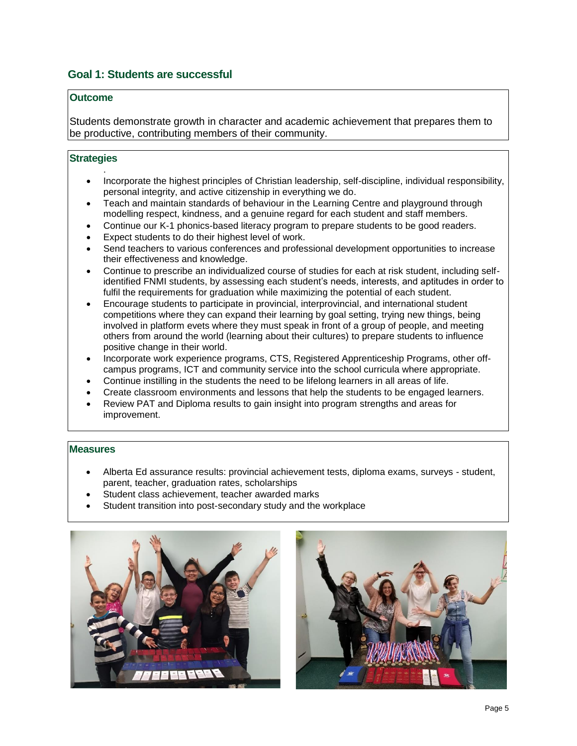## **Goal 1: Students are successful**

#### **Outcome**

Students demonstrate growth in character and academic achievement that prepares them to be productive, contributing members of their community.

#### **Strategies**

.

- Incorporate the highest principles of Christian leadership, self-discipline, individual responsibility, personal integrity, and active citizenship in everything we do.
- Teach and maintain standards of behaviour in the Learning Centre and playground through modelling respect, kindness, and a genuine regard for each student and staff members.
- Continue our K-1 phonics-based literacy program to prepare students to be good readers.
- Expect students to do their highest level of work.
- Send teachers to various conferences and professional development opportunities to increase their effectiveness and knowledge.
- Continue to prescribe an individualized course of studies for each at risk student, including selfidentified FNMI students, by assessing each student's needs, interests, and aptitudes in order to fulfil the requirements for graduation while maximizing the potential of each student.
- Encourage students to participate in provincial, interprovincial, and international student competitions where they can expand their learning by goal setting, trying new things, being involved in platform evets where they must speak in front of a group of people, and meeting others from around the world (learning about their cultures) to prepare students to influence positive change in their world.
- Incorporate work experience programs, CTS, Registered Apprenticeship Programs, other offcampus programs, ICT and community service into the school curricula where appropriate.
- Continue instilling in the students the need to be lifelong learners in all areas of life.
- Create classroom environments and lessons that help the students to be engaged learners.
- Review PAT and Diploma results to gain insight into program strengths and areas for improvement.

#### **Measures**

- Alberta Ed assurance results: provincial achievement tests, diploma exams, surveys student, parent, teacher, graduation rates, scholarships
- Student class achievement, teacher awarded marks
- Student transition into post-secondary study and the workplace



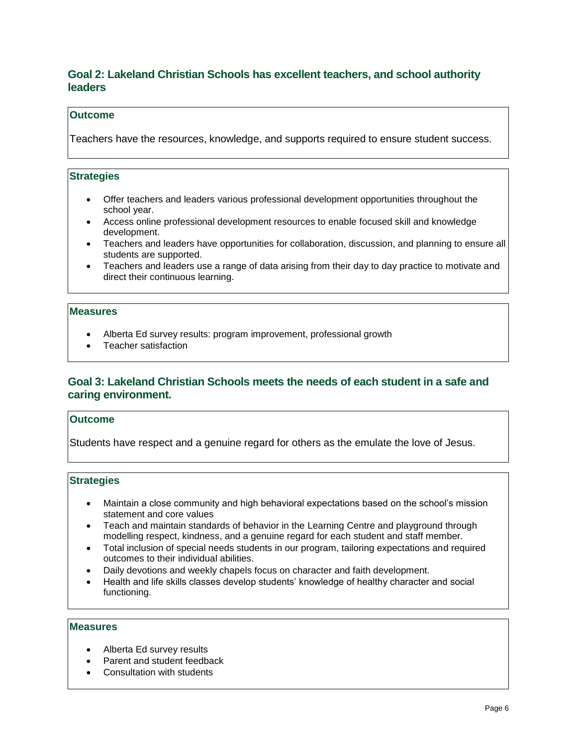## **Goal 2: Lakeland Christian Schools has excellent teachers, and school authority leaders**

#### **Outcome**

Teachers have the resources, knowledge, and supports required to ensure student success.

#### **Strategies**

- Offer teachers and leaders various professional development opportunities throughout the school year.
- Access online professional development resources to enable focused skill and knowledge development.
- Teachers and leaders have opportunities for collaboration, discussion, and planning to ensure all students are supported.
- Teachers and leaders use a range of data arising from their day to day practice to motivate and direct their continuous learning.

#### **Measures**

- Alberta Ed survey results: program improvement, professional growth
- Teacher satisfaction

### **Goal 3: Lakeland Christian Schools meets the needs of each student in a safe and caring environment.**

#### **Outcome**

Students have respect and a genuine regard for others as the emulate the love of Jesus.

#### **Strategies**

- Maintain a close community and high behavioral expectations based on the school's mission statement and core values
- Teach and maintain standards of behavior in the Learning Centre and playground through modelling respect, kindness, and a genuine regard for each student and staff member.
- Total inclusion of special needs students in our program, tailoring expectations and required outcomes to their individual abilities.
- Daily devotions and weekly chapels focus on character and faith development.
- Health and life skills classes develop students' knowledge of healthy character and social functioning.

#### **Measures**

- Alberta Ed survey results
- Parent and student feedback
- Consultation with students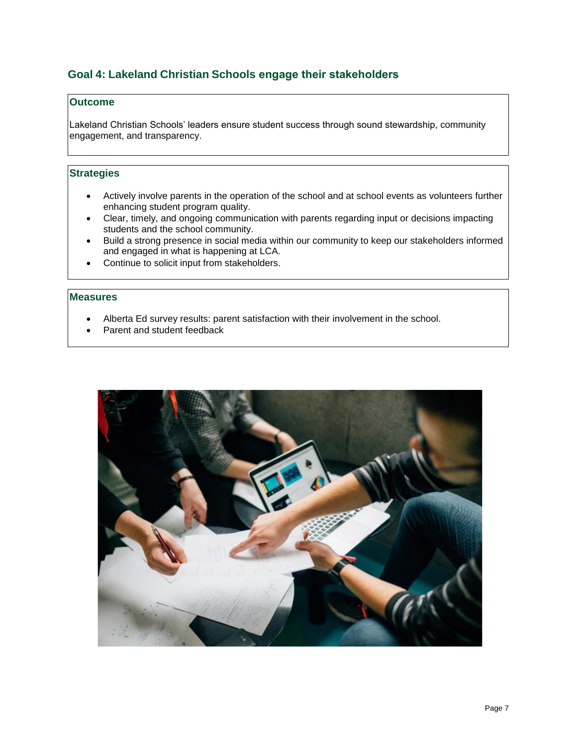## **Goal 4: Lakeland Christian Schools engage their stakeholders**

#### **Outcome**

Lakeland Christian Schools' leaders ensure student success through sound stewardship, community engagement, and transparency.

#### **Strategies**

- Actively involve parents in the operation of the school and at school events as volunteers further enhancing student program quality.
- Clear, timely, and ongoing communication with parents regarding input or decisions impacting students and the school community.
- Build a strong presence in social media within our community to keep our stakeholders informed and engaged in what is happening at LCA.
- Continue to solicit input from stakeholders.

#### **Measures**

- Alberta Ed survey results: parent satisfaction with their involvement in the school.
- Parent and student feedback